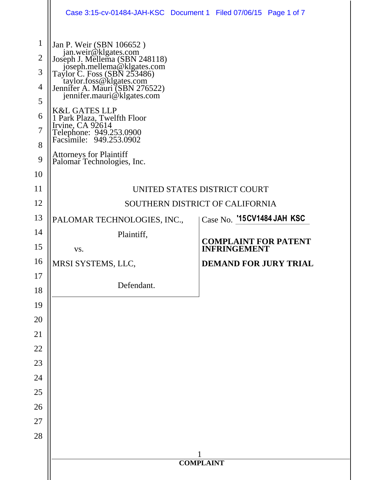|                                                                                                   | Case 3:15-cv-01484-JAH-KSC Document 1 Filed 07/06/15 Page 1 of 7                                                                                                                                                                                                                                                                                                                                                            |                              |
|---------------------------------------------------------------------------------------------------|-----------------------------------------------------------------------------------------------------------------------------------------------------------------------------------------------------------------------------------------------------------------------------------------------------------------------------------------------------------------------------------------------------------------------------|------------------------------|
| $\mathbf{1}$<br>$\overline{2}$<br>3<br>$\overline{4}$<br>5<br>6<br>$\overline{7}$<br>8<br>9<br>10 | Jan P. Weir (SBN 106652)<br>jan.weir@klgates.com<br>Joseph J. Mellema (SBN 248118)<br>joseph.mellema@klgates.com<br>Taylor C. Foss (SBN 253486)<br>taylor.foss@klgates.com<br>Jennifer A. Mauri (SBN 276522)<br>jennifer.mauri@klgates.com<br>K&L GATES LLP<br>Park Plaza, Twelfth Floor<br>Irvine, CA 92614<br>Telephone: 949.253.0900<br>Facsimile: 949.253.0902<br>Attorneys for Plaintiff<br>Palomar Technologies, Inc. |                              |
| 11                                                                                                | UNITED STATES DISTRICT COURT                                                                                                                                                                                                                                                                                                                                                                                                |                              |
| 12                                                                                                | SOUTHERN DISTRICT OF CALIFORNIA                                                                                                                                                                                                                                                                                                                                                                                             |                              |
| 13                                                                                                | PALOMAR TECHNOLOGIES, INC.,                                                                                                                                                                                                                                                                                                                                                                                                 | Case No. '15CV1484 JAH KSC   |
| 14                                                                                                | Plaintiff,                                                                                                                                                                                                                                                                                                                                                                                                                  | <b>COMPLAINT FOR PATENT</b>  |
| 15                                                                                                | VS.                                                                                                                                                                                                                                                                                                                                                                                                                         | <b>INFRINGEMENT</b>          |
| 16                                                                                                | MRSI SYSTEMS, LLC,                                                                                                                                                                                                                                                                                                                                                                                                          | <b>DEMAND FOR JURY TRIAL</b> |
| $17\,$<br>18                                                                                      | Defendant.                                                                                                                                                                                                                                                                                                                                                                                                                  |                              |
| 19                                                                                                |                                                                                                                                                                                                                                                                                                                                                                                                                             |                              |
| 20                                                                                                |                                                                                                                                                                                                                                                                                                                                                                                                                             |                              |
| 21                                                                                                |                                                                                                                                                                                                                                                                                                                                                                                                                             |                              |
| 22                                                                                                |                                                                                                                                                                                                                                                                                                                                                                                                                             |                              |
| 23                                                                                                |                                                                                                                                                                                                                                                                                                                                                                                                                             |                              |
| 24                                                                                                |                                                                                                                                                                                                                                                                                                                                                                                                                             |                              |
| 25                                                                                                |                                                                                                                                                                                                                                                                                                                                                                                                                             |                              |
| 26                                                                                                |                                                                                                                                                                                                                                                                                                                                                                                                                             |                              |
| $27\,$                                                                                            |                                                                                                                                                                                                                                                                                                                                                                                                                             |                              |
| 28                                                                                                |                                                                                                                                                                                                                                                                                                                                                                                                                             |                              |
|                                                                                                   |                                                                                                                                                                                                                                                                                                                                                                                                                             |                              |
|                                                                                                   |                                                                                                                                                                                                                                                                                                                                                                                                                             | <b>COMPLAINT</b>             |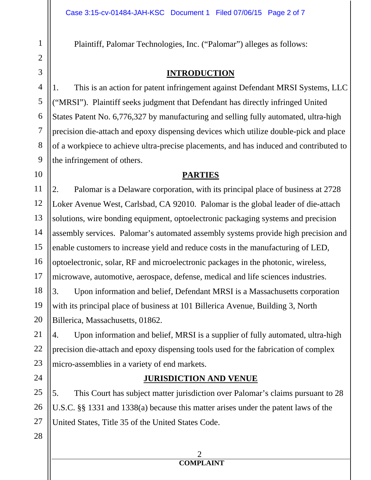Plaintiff, Palomar Technologies, Inc. ("Palomar") alleges as follows:

#### **INTRODUCTION**

1. This is an action for patent infringement against Defendant MRSI Systems, LLC ("MRSI"). Plaintiff seeks judgment that Defendant has directly infringed United States Patent No. 6,776,327 by manufacturing and selling fully automated, ultra-high precision die-attach and epoxy dispensing devices which utilize double-pick and place of a workpiece to achieve ultra-precise placements, and has induced and contributed to the infringement of others.

#### **PARTIES**

11 12 13 14 15 16 17 18 2. Palomar is a Delaware corporation, with its principal place of business at 2728 Loker Avenue West, Carlsbad, CA 92010. Palomar is the global leader of die-attach solutions, wire bonding equipment, optoelectronic packaging systems and precision assembly services. Palomar's automated assembly systems provide high precision and enable customers to increase yield and reduce costs in the manufacturing of LED, optoelectronic, solar, RF and microelectronic packages in the photonic, wireless, microwave, automotive, aerospace, defense, medical and life sciences industries.

3. Upon information and belief, Defendant MRSI is a Massachusetts corporation with its principal place of business at 101 Billerica Avenue, Building 3, North Billerica, Massachusetts, 01862.

21 22 23 4. Upon information and belief, MRSI is a supplier of fully automated, ultra-high precision die-attach and epoxy dispensing tools used for the fabrication of complex micro-assemblies in a variety of end markets.

### **JURISDICTION AND VENUE**

25 26 27 5. This Court has subject matter jurisdiction over Palomar's claims pursuant to 28 U.S.C. §§ 1331 and 1338(a) because this matter arises under the patent laws of the United States, Title 35 of the United States Code.

24

19

20

1

2

3

4

5

6

7

8

9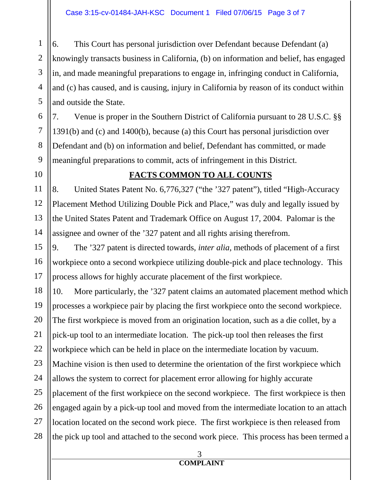3 4 5 6. This Court has personal jurisdiction over Defendant because Defendant (a) knowingly transacts business in California, (b) on information and belief, has engaged in, and made meaningful preparations to engage in, infringing conduct in California, and (c) has caused, and is causing, injury in California by reason of its conduct within and outside the State.

7. Venue is proper in the Southern District of California pursuant to 28 U.S.C. §§ 1391(b) and (c) and 1400(b), because (a) this Court has personal jurisdiction over Defendant and (b) on information and belief, Defendant has committed, or made meaningful preparations to commit, acts of infringement in this District.

# 10

11

12

13

14

1

2

6

7

8

9

### **FACTS COMMON TO ALL COUNTS**

8. United States Patent No. 6,776,327 ("the '327 patent"), titled "High-Accuracy Placement Method Utilizing Double Pick and Place," was duly and legally issued by the United States Patent and Trademark Office on August 17, 2004. Palomar is the assignee and owner of the '327 patent and all rights arising therefrom.

15 16 17 9. The '327 patent is directed towards, *inter alia*, methods of placement of a first workpiece onto a second workpiece utilizing double-pick and place technology. This process allows for highly accurate placement of the first workpiece.

18 19 20 21 22 23 24 25 26 27 28 10. More particularly, the '327 patent claims an automated placement method which processes a workpiece pair by placing the first workpiece onto the second workpiece. The first workpiece is moved from an origination location, such as a die collet, by a pick-up tool to an intermediate location. The pick-up tool then releases the first workpiece which can be held in place on the intermediate location by vacuum. Machine vision is then used to determine the orientation of the first workpiece which allows the system to correct for placement error allowing for highly accurate placement of the first workpiece on the second workpiece. The first workpiece is then engaged again by a pick-up tool and moved from the intermediate location to an attach location located on the second work piece. The first workpiece is then released from the pick up tool and attached to the second work piece. This process has been termed a

3

## **COMPLAINT**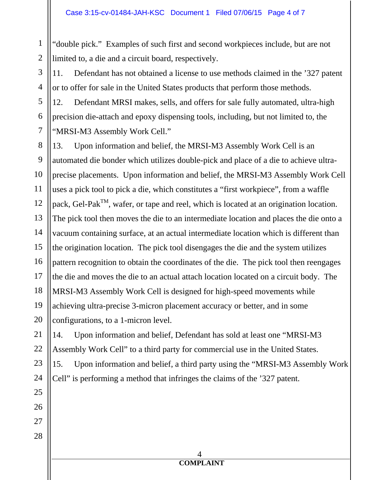1 2 "double pick." Examples of such first and second workpieces include, but are not limited to, a die and a circuit board, respectively.

3 4 11. Defendant has not obtained a license to use methods claimed in the '327 patent or to offer for sale in the United States products that perform those methods.

12. Defendant MRSI makes, sells, and offers for sale fully automated, ultra-high precision die-attach and epoxy dispensing tools, including, but not limited to, the "MRSI-M3 Assembly Work Cell."

8 9 10 11 12 13 14 15 16 17 18 19 20 13. Upon information and belief, the MRSI-M3 Assembly Work Cell is an automated die bonder which utilizes double-pick and place of a die to achieve ultraprecise placements. Upon information and belief, the MRSI-M3 Assembly Work Cell uses a pick tool to pick a die, which constitutes a "first workpiece", from a waffle pack, Gel-Pak<sup>TM</sup>, wafer, or tape and reel, which is located at an origination location. The pick tool then moves the die to an intermediate location and places the die onto a vacuum containing surface, at an actual intermediate location which is different than the origination location. The pick tool disengages the die and the system utilizes pattern recognition to obtain the coordinates of the die. The pick tool then reengages the die and moves the die to an actual attach location located on a circuit body. The MRSI-M3 Assembly Work Cell is designed for high-speed movements while achieving ultra-precise 3-micron placement accuracy or better, and in some configurations, to a 1-micron level.

14. Upon information and belief, Defendant has sold at least one "MRSI-M3 Assembly Work Cell" to a third party for commercial use in the United States.

15. Upon information and belief, a third party using the "MRSI-M3 Assembly Work Cell" is performing a method that infringes the claims of the '327 patent.

> 4 **COMPLAINT**

5

6

7

21

22

23

24

25

26

27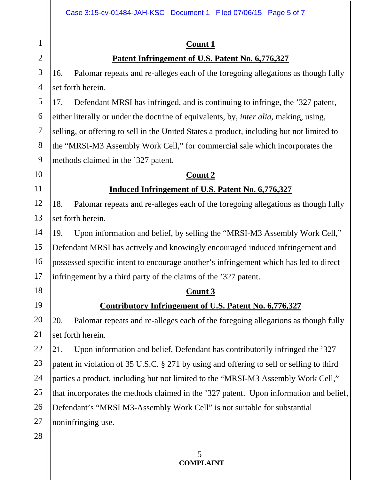#### **Count 1**

## **Patent Infringement of U.S. Patent No. 6,776,327**

16. Palomar repeats and re-alleges each of the foregoing allegations as though fully set forth herein.

6 8 9 17. Defendant MRSI has infringed, and is continuing to infringe, the '327 patent, either literally or under the doctrine of equivalents, by, *inter alia*, making, using, selling, or offering to sell in the United States a product, including but not limited to the "MRSI-M3 Assembly Work Cell," for commercial sale which incorporates the methods claimed in the '327 patent.

### **Count 2**

## **Induced Infringement of U.S. Patent No. 6,776,327**

18. Palomar repeats and re-alleges each of the foregoing allegations as though fully set forth herein.

14 15 16 17 19. Upon information and belief, by selling the "MRSI-M3 Assembly Work Cell," Defendant MRSI has actively and knowingly encouraged induced infringement and possessed specific intent to encourage another's infringement which has led to direct infringement by a third party of the claims of the '327 patent.

### **Count 3**

## **Contributory Infringement of U.S. Patent No. 6,776,327**

20 21 20. Palomar repeats and re-alleges each of the foregoing allegations as though fully set forth herein.

22 23 24 25 26 27 21. Upon information and belief, Defendant has contributorily infringed the '327 patent in violation of 35 U.S.C. § 271 by using and offering to sell or selling to third parties a product, including but not limited to the "MRSI-M3 Assembly Work Cell," that incorporates the methods claimed in the '327 patent. Upon information and belief, Defendant's "MRSI M3-Assembly Work Cell" is not suitable for substantial noninfringing use.

28

1

2

3

4

5

7

10

11

12

13

18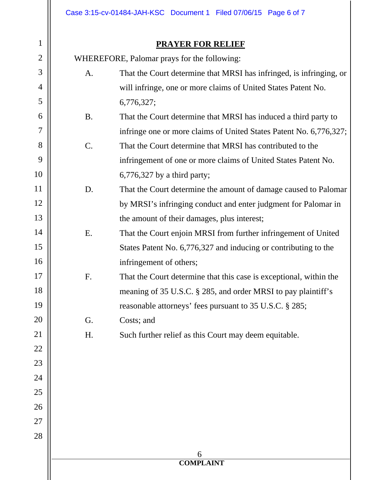#### **PRAYER FOR RELIEF**

WHEREFORE, Palomar prays for the following:

1

2

3

4

5

6

7

8

9

10

11

12

13

14

15

16

17

18

19

20

21

22

23

24

25

26

27

- A. That the Court determine that MRSI has infringed, is infringing, or will infringe, one or more claims of United States Patent No. 6,776,327;
- B. That the Court determine that MRSI has induced a third party to infringe one or more claims of United States Patent No. 6,776,327;
- C. That the Court determine that MRSI has contributed to the infringement of one or more claims of United States Patent No. 6,776,327 by a third party;
- D. That the Court determine the amount of damage caused to Palomar by MRSI's infringing conduct and enter judgment for Palomar in the amount of their damages, plus interest;
	- E. That the Court enjoin MRSI from further infringement of United States Patent No. 6,776,327 and inducing or contributing to the infringement of others;
	- F. That the Court determine that this case is exceptional, within the meaning of 35 U.S.C. § 285, and order MRSI to pay plaintiff's reasonable attorneys' fees pursuant to 35 U.S.C. § 285;
	- G. Costs; and
		- H. Such further relief as this Court may deem equitable.